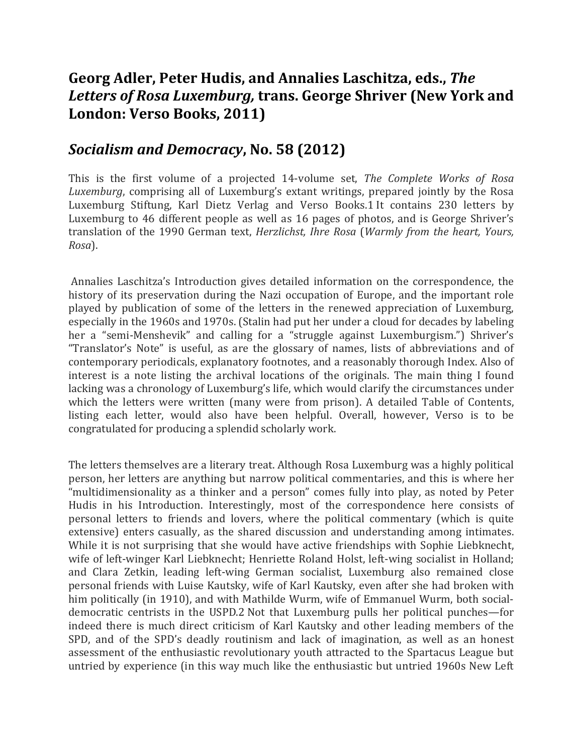## **Georg Adler, Peter Hudis, and Annalies Laschitza, eds.,** *The Letters of Rosa Luxemburg,* **trans. George Shriver (New York and London: Verso Books, 2011)**

## *Socialism and Democracy***, No. 58 (2012)**

This is the first volume of a projected 14-volume set, *The Complete Works of Rosa Luxemburg*, comprising all of Luxemburg's extant writings, prepared jointly by the Rosa Luxemburg Stiftung, Karl Dietz Verlag and Verso Books.1 It contains 230 letters by Luxemburg to 46 different people as well as 16 pages of photos, and is George Shriver's translation of the 1990 German text, *Herzlichst, Ihre Rosa* (*Warmly from the heart, Yours, Rosa*). 

Annalies Laschitza's Introduction gives detailed information on the correspondence, the history of its preservation during the Nazi occupation of Europe, and the important role played by publication of some of the letters in the renewed appreciation of Luxemburg, especially in the 1960s and 1970s. (Stalin had put her under a cloud for decades by labeling her a "semi-Menshevik" and calling for a "struggle against Luxemburgism.") Shriver's "Translator's Note" is useful, as are the glossary of names, lists of abbreviations and of contemporary periodicals, explanatory footnotes, and a reasonably thorough Index. Also of interest is a note listing the archival locations of the originals. The main thing I found lacking was a chronology of Luxemburg's life, which would clarify the circumstances under which the letters were written (many were from prison). A detailed Table of Contents, listing each letter, would also have been helpful. Overall, however, Verso is to be congratulated for producing a splendid scholarly work.

The letters themselves are a literary treat. Although Rosa Luxemburg was a highly political person, her letters are anything but narrow political commentaries, and this is where her "multidimensionality as a thinker and a person" comes fully into play, as noted by Peter Hudis in his Introduction. Interestingly, most of the correspondence here consists of personal letters to friends and lovers, where the political commentary (which is quite extensive) enters casually, as the shared discussion and understanding among intimates. While it is not surprising that she would have active friendships with Sophie Liebknecht, wife of left-winger Karl Liebknecht; Henriette Roland Holst, left-wing socialist in Holland; and Clara Zetkin, leading left-wing German socialist, Luxemburg also remained close personal friends with Luise Kautsky, wife of Karl Kautsky, even after she had broken with him politically (in 1910), and with Mathilde Wurm, wife of Emmanuel Wurm, both socialdemocratic centrists in the USPD.2 Not that Luxemburg pulls her political punches—for indeed there is much direct criticism of Karl Kautsky and other leading members of the SPD, and of the SPD's deadly routinism and lack of imagination, as well as an honest assessment of the enthusiastic revolutionary youth attracted to the Spartacus League but untried by experience (in this way much like the enthusiastic but untried 1960s New Left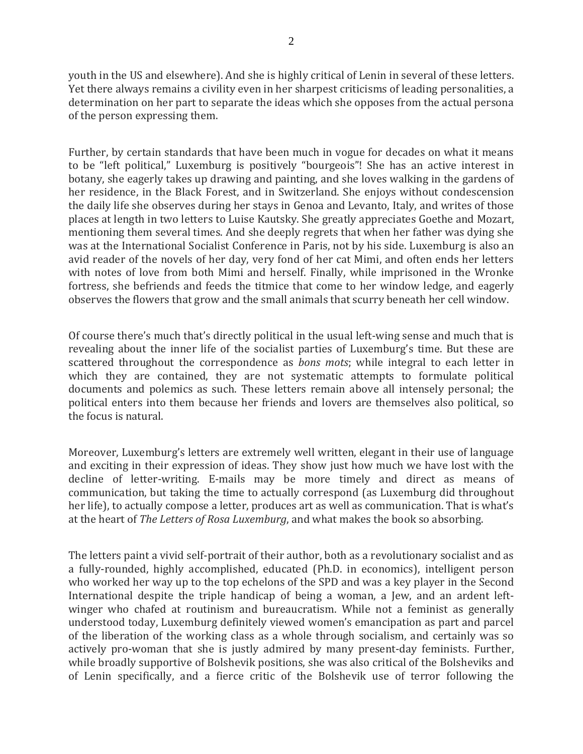youth in the US and elsewhere). And she is highly critical of Lenin in several of these letters. Yet there always remains a civility even in her sharpest criticisms of leading personalities, a determination on her part to separate the ideas which she opposes from the actual persona of the person expressing them.

Further, by certain standards that have been much in vogue for decades on what it means to be "left political," Luxemburg is positively "bourgeois"! She has an active interest in botany, she eagerly takes up drawing and painting, and she loves walking in the gardens of her residence, in the Black Forest, and in Switzerland. She enjoys without condescension the daily life she observes during her stays in Genoa and Levanto, Italy, and writes of those places at length in two letters to Luise Kautsky. She greatly appreciates Goethe and Mozart, mentioning them several times. And she deeply regrets that when her father was dying she was at the International Socialist Conference in Paris, not by his side. Luxemburg is also an avid reader of the novels of her day, very fond of her cat Mimi, and often ends her letters with notes of love from both Mimi and herself. Finally, while imprisoned in the Wronke fortress, she befriends and feeds the titmice that come to her window ledge, and eagerly observes the flowers that grow and the small animals that scurry beneath her cell window.

Of course there's much that's directly political in the usual left-wing sense and much that is revealing about the inner life of the socialist parties of Luxemburg's time. But these are scattered throughout the correspondence as *bons mots*; while integral to each letter in which they are contained, they are not systematic attempts to formulate political documents and polemics as such. These letters remain above all intensely personal; the political enters into them because her friends and lovers are themselves also political, so the focus is natural.

Moreover, Luxemburg's letters are extremely well written, elegant in their use of language and exciting in their expression of ideas. They show just how much we have lost with the decline of letter-writing. E-mails may be more timely and direct as means of communication, but taking the time to actually correspond (as Luxemburg did throughout her life), to actually compose a letter, produces art as well as communication. That is what's at the heart of *The Letters of Rosa Luxemburg*, and what makes the book so absorbing.

The letters paint a vivid self-portrait of their author, both as a revolutionary socialist and as a fully-rounded, highly accomplished, educated (Ph.D. in economics), intelligent person who worked her way up to the top echelons of the SPD and was a key player in the Second International despite the triple handicap of being a woman, a Jew, and an ardent leftwinger who chafed at routinism and bureaucratism. While not a feminist as generally understood today, Luxemburg definitely viewed women's emancipation as part and parcel of the liberation of the working class as a whole through socialism, and certainly was so actively pro-woman that she is justly admired by many present-day feminists. Further, while broadly supportive of Bolshevik positions, she was also critical of the Bolsheviks and of Lenin specifically, and a fierce critic of the Bolshevik use of terror following the